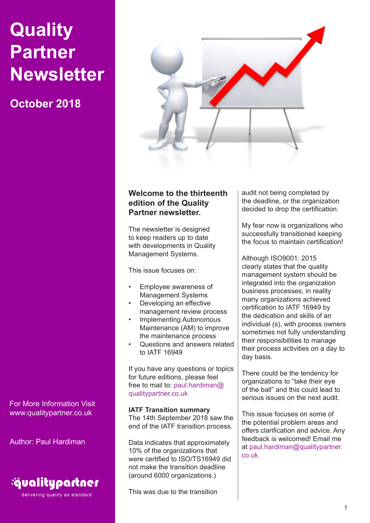# **Quality Partner Newsletter**

## **October 2018**



## **Welcome to the thirteenth edition of the Quality Partner newsletter.**

The newsletter is designed to keep readers up to date with developments in Quality Management Systems.

This issue focuses on:

- Employee awareness of Management Systems
- Developing an effective management review process
- **Implementing Autonomous** Maintenance (AM) to improve the maintenance process
- Questions and answers related to IATF 16949

If you have any questions or topics for future editions, please feel free to mail to: paul.hardiman@ qualitypartner.co.uk

**IATF Transition summary** The 14th September 2018 saw the end of the IATF transition process.

Data indicates that approximately 10% of the organizations that were certified to ISO/TS16949 did not make the transition deadline (around 6000 organizations.)

This was due to the transition

audit not being completed by the deadline, or the organization decided to drop the certification.

My fear now is organizations who successfully transitioned keeping the focus to maintain certification!

Although ISO9001: 2015 clearly states that the quality management system should be integrated into the organization business processes, in reality many organizations achieved certification to IATF 16949 by the dedication and skills of an individual (s), with process owners sometimes not fully understanding their responsibilities to manage their process activities on a day to day basis.

There could be the tendency for organizations to "take their eye of the ball" and this could lead to serious issues on the next audit.

This issue focuses on some of the potential problem areas and offers clarification and advice. Any feedback is welcomed! Email me at paul.hardiman@qualitypartner. co.uk

For More Information Visit www.qualitypartner.co.uk

Author: Paul Hardiman



delivering quality as standard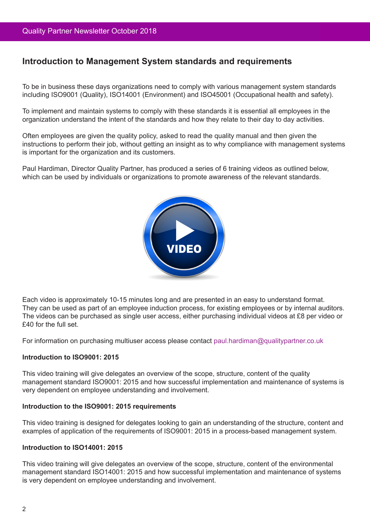## **Introduction to Management System standards and requirements**

To be in business these days organizations need to comply with various management system standards including ISO9001 (Quality), ISO14001 (Environment) and ISO45001 (Occupational health and safety).

To implement and maintain systems to comply with these standards it is essential all employees in the organization understand the intent of the standards and how they relate to their day to day activities.

Often employees are given the quality policy, asked to read the quality manual and then given the instructions to perform their job, without getting an insight as to why compliance with management systems is important for the organization and its customers.

Paul Hardiman, Director Quality Partner, has produced a series of 6 training videos as outlined below, which can be used by individuals or organizations to promote awareness of the relevant standards.



Each video is approximately 10-15 minutes long and are presented in an easy to understand format. They can be used as part of an employee induction process, for existing employees or by internal auditors. The videos can be purchased as single user access, either purchasing individual videos at £8 per video or £40 for the full set.

For information on purchasing multiuser access please contact paul.hardiman@qualitypartner.co.uk

#### **Introduction to ISO9001: 2015**

This video training will give delegates an overview of the scope, structure, content of the quality management standard ISO9001: 2015 and how successful implementation and maintenance of systems is very dependent on employee understanding and involvement.

#### **Introduction to the ISO9001: 2015 requirements**

This video training is designed for delegates looking to gain an understanding of the structure, content and examples of application of the requirements of ISO9001: 2015 in a process-based management system.

#### **Introduction to ISO14001: 2015**

This video training will give delegates an overview of the scope, structure, content of the environmental management standard ISO14001: 2015 and how successful implementation and maintenance of systems is very dependent on employee understanding and involvement.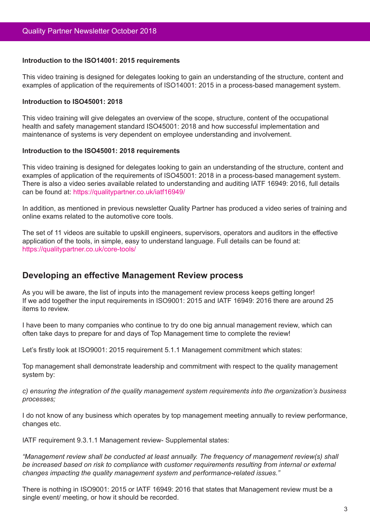#### **Introduction to the ISO14001: 2015 requirements**

This video training is designed for delegates looking to gain an understanding of the structure, content and examples of application of the requirements of ISO14001: 2015 in a process-based management system.

#### **Introduction to ISO45001: 2018**

This video training will give delegates an overview of the scope, structure, content of the occupational health and safety management standard ISO45001: 2018 and how successful implementation and maintenance of systems is very dependent on employee understanding and involvement.

#### **Introduction to the ISO45001: 2018 requirements**

This video training is designed for delegates looking to gain an understanding of the structure, content and examples of application of the requirements of ISO45001: 2018 in a process-based management system. There is also a video series available related to understanding and auditing IATF 16949: 2016, full details can be found at: https://qualitypartner.co.uk/iatf16949/

In addition, as mentioned in previous newsletter Quality Partner has produced a video series of training and online exams related to the automotive core tools.

The set of 11 videos are suitable to upskill engineers, supervisors, operators and auditors in the effective application of the tools, in simple, easy to understand language. Full details can be found at: https://qualitypartner.co.uk/core-tools/

### **Developing an effective Management Review process**

As you will be aware, the list of inputs into the management review process keeps getting longer! If we add together the input requirements in ISO9001: 2015 and IATF 16949: 2016 there are around 25 items to review.

I have been to many companies who continue to try do one big annual management review, which can often take days to prepare for and days of Top Management time to complete the review!

Let's firstly look at ISO9001: 2015 requirement 5.1.1 Management commitment which states:

Top management shall demonstrate leadership and commitment with respect to the quality management system by:

*c) ensuring the integration of the quality management system requirements into the organization's business processes;*

I do not know of any business which operates by top management meeting annually to review performance, changes etc.

IATF requirement 9.3.1.1 Management review- Supplemental states:

*"Management review shall be conducted at least annually. The frequency of management review(s) shall*  be increased based on risk to compliance with customer requirements resulting from internal or external *changes impacting the quality management system and performance-related issues."*

There is nothing in ISO9001: 2015 or IATF 16949: 2016 that states that Management review must be a single event/ meeting, or how it should be recorded.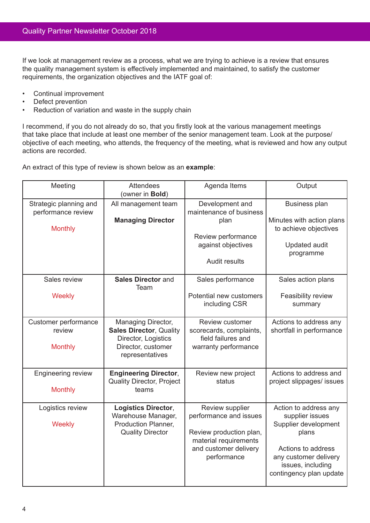If we look at management review as a process, what we are trying to achieve is a review that ensures the quality management system is effectively implemented and maintained, to satisfy the customer requirements, the organization objectives and the IATF goal of:

- • Continual improvement
- Defect prevention
- Reduction of variation and waste in the supply chain

I recommend, if you do not already do so, that you firstly look at the various management meetings that take place that include at least one member of the senior management team. Look at the purpose/ objective of each meeting, who attends, the frequency of the meeting, what is reviewed and how any output actions are recorded.

An extract of this type of review is shown below as an **example**:

| Meeting                                                        | <b>Attendees</b><br>(owner in Bold)                                                                                  | Agenda Items                                                                                                                          | Output                                                                                                                                                                   |
|----------------------------------------------------------------|----------------------------------------------------------------------------------------------------------------------|---------------------------------------------------------------------------------------------------------------------------------------|--------------------------------------------------------------------------------------------------------------------------------------------------------------------------|
| Strategic planning and<br>performance review<br><b>Monthly</b> | All management team<br><b>Managing Director</b>                                                                      | Development and<br>maintenance of business<br>plan<br>Review performance<br>against objectives<br><b>Audit results</b>                | <b>Business plan</b><br>Minutes with action plans<br>to achieve objectives<br><b>Updated audit</b><br>programme                                                          |
| Sales review<br><b>Weekly</b>                                  | <b>Sales Director and</b><br>Team                                                                                    | Sales performance<br>Potential new customers<br>including CSR                                                                         | Sales action plans<br>Feasibility review<br>summary                                                                                                                      |
| Customer performance<br>review<br><b>Monthly</b>               | Managing Director,<br><b>Sales Director, Quality</b><br>Director, Logistics<br>Director, customer<br>representatives | <b>Review customer</b><br>scorecards, complaints,<br>field failures and<br>warranty performance                                       | Actions to address any<br>shortfall in performance                                                                                                                       |
| <b>Engineering review</b><br><b>Monthly</b>                    | <b>Engineering Director,</b><br><b>Quality Director, Project</b><br>teams                                            | Review new project<br>status                                                                                                          | Actions to address and<br>project slippages/ issues                                                                                                                      |
| Logistics review<br><b>Weekly</b>                              | <b>Logistics Director,</b><br>Warehouse Manager,<br>Production Planner,<br><b>Quality Director</b>                   | Review supplier<br>performance and issues<br>Review production plan,<br>material requirements<br>and customer delivery<br>performance | Action to address any<br>supplier issues<br>Supplier development<br>plans<br>Actions to address<br>any customer delivery<br>issues, including<br>contingency plan update |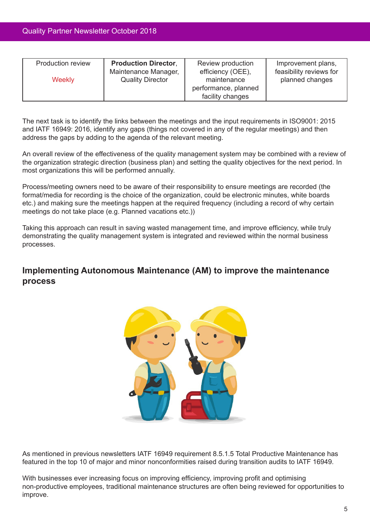| <b>Production review</b><br><b>Weekly</b> | <b>Production Director,</b><br>Maintenance Manager,<br><b>Quality Director</b> | Review production<br>efficiency (OEE),<br>maintenance | Improvement plans,<br>feasibility reviews for<br>planned changes |
|-------------------------------------------|--------------------------------------------------------------------------------|-------------------------------------------------------|------------------------------------------------------------------|
|                                           |                                                                                | performance, planned<br>facility changes              |                                                                  |

The next task is to identify the links between the meetings and the input requirements in ISO9001: 2015 and IATF 16949: 2016, identify any gaps (things not covered in any of the regular meetings) and then address the gaps by adding to the agenda of the relevant meeting.

An overall review of the effectiveness of the quality management system may be combined with a review of the organization strategic direction (business plan) and setting the quality objectives for the next period. In most organizations this will be performed annually.

Process/meeting owners need to be aware of their responsibility to ensure meetings are recorded (the format/media for recording is the choice of the organization, could be electronic minutes, white boards etc.) and making sure the meetings happen at the required frequency (including a record of why certain meetings do not take place (e.g. Planned vacations etc.))

Taking this approach can result in saving wasted management time, and improve efficiency, while truly demonstrating the quality management system is integrated and reviewed within the normal business processes.

## **Implementing Autonomous Maintenance (AM) to improve the maintenance process**



As mentioned in previous newsletters IATF 16949 requirement 8.5.1.5 Total Productive Maintenance has featured in the top 10 of major and minor nonconformities raised during transition audits to IATF 16949.

With businesses ever increasing focus on improving efficiency, improving profit and optimising non-productive employees, traditional maintenance structures are often being reviewed for opportunities to improve.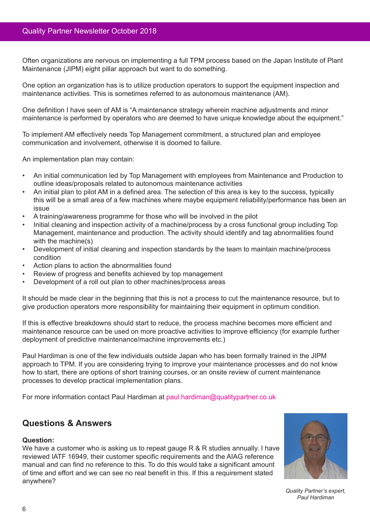Often organizations are nervous on implementing a full TPM process based on the Japan Institute of Plant Maintenance (JIPM) eight pillar approach but want to do something.

One option an organization has is to utilize production operators to support the equipment inspection and maintenance activities. This is sometimes referred to as autonomous maintenance (AM).

One definition I have seen of AM is "A maintenance strategy wherein machine adjustments and minor maintenance is performed by operators who are deemed to have unique knowledge about the equipment."

To implement AM effectively needs Top Management commitment, a structured plan and employee communication and involvement, otherwise it is doomed to failure.

An implementation plan may contain:

- • An initial communication led by Top Management with employees from Maintenance and Production to outline ideas/proposals related to autonomous maintenance activities
- An initial plan to pilot AM in a defined area. The selection of this area is key to the success, typically this will be a small area of a few machines where maybe equipment reliability/performance has been an issue
- A training/awareness programme for those who will be involved in the pilot
- Initial cleaning and inspection activity of a machine/process by a cross functional group including Top Management, maintenance and production. The activity should identify and tag abnormalities found with the machine(s)
- Development of initial cleaning and inspection standards by the team to maintain machine/process condition
- Action plans to action the abnormalities found
- Review of progress and benefits achieved by top management
- Development of a roll out plan to other machines/process areas

It should be made clear in the beginning that this is not a process to cut the maintenance resource, but to give production operators more responsibility for maintaining their equipment in optimum condition.

If this is effective breakdowns should start to reduce, the process machine becomes more efficient and maintenance resource can be used on more proactive activities to improve efficiency (for example further deployment of predictive maintenance/machine improvements etc.)

Paul Hardiman is one of the few individuals outside Japan who has been formally trained in the JIPM approach to TPM. If you are considering trying to improve your maintenance processes and do not know how to start, there are options of short training courses, or an onsite review of current maintenance processes to develop practical implementation plans.

For more information contact Paul Hardiman at paul.hardiman@qualitypartner.co.uk

## **Questions & Answers**

#### **Question:**

We have a customer who is asking us to repeat gauge R & R studies annually. I have reviewed IATF 16949, their customer specific requirements and the AIAG reference manual and can find no reference to this. To do this would take a significant amount of time and effort and we can see no real benefit in this. If this a requirement stated anywhere?



*Quality Partner's expert, Paul Hardiman*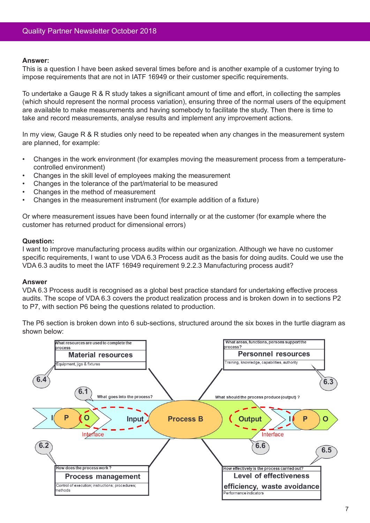#### **Answer:**

This is a question I have been asked several times before and is another example of a customer trying to impose requirements that are not in IATF 16949 or their customer specific requirements.

To undertake a Gauge R & R study takes a significant amount of time and effort, in collecting the samples (which should represent the normal process variation), ensuring three of the normal users of the equipment are available to make measurements and having somebody to facilitate the study. Then there is time to take and record measurements, analyse results and implement any improvement actions.

In my view, Gauge R & R studies only need to be repeated when any changes in the measurement system are planned, for example:

- Changes in the work environment (for examples moving the measurement process from a temperaturecontrolled environment)
- Changes in the skill level of employees making the measurement
- Changes in the tolerance of the part/material to be measured
- Changes in the method of measurement
- Changes in the measurement instrument (for example addition of a fixture)

Or where measurement issues have been found internally or at the customer (for example where the customer has returned product for dimensional errors)

#### **Question:**

I want to improve manufacturing process audits within our organization. Although we have no customer specific requirements, I want to use VDA 6.3 Process audit as the basis for doing audits. Could we use the VDA 6.3 audits to meet the IATF 16949 requirement 9.2.2.3 Manufacturing process audit?

#### **Answer**

VDA 6.3 Process audit is recognised as a global best practice standard for undertaking effective process audits. The scope of VDA 6.3 covers the product realization process and is broken down in to sections P2 to P7, with section P6 being the questions related to production.

The P6 section is broken down into 6 sub-sections, structured around the six boxes in the turtle diagram as shown below:

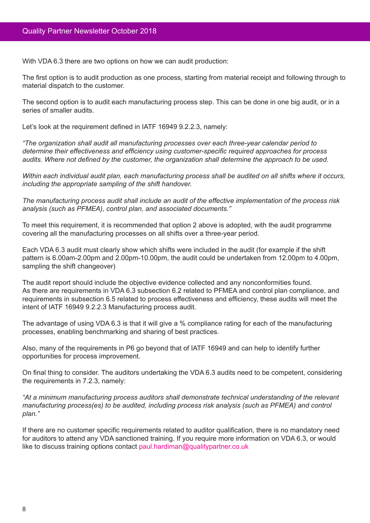With VDA 6.3 there are two options on how we can audit production:

The first option is to audit production as one process, starting from material receipt and following through to material dispatch to the customer.

The second option is to audit each manufacturing process step. This can be done in one big audit, or in a series of smaller audits.

Let's look at the requirement defined in IATF 16949 9.2.2.3, namely:

*"The organization shall audit all manufacturing processes over each three-year calendar period to determine their effectiveness and efficiency using customer-specific required approaches for process audits. Where not defined by the customer, the organization shall determine the approach to be used.*

*Within each individual audit plan, each manufacturing process shall be audited on all shifts where it occurs, including the appropriate sampling of the shift handover.*

*The manufacturing process audit shall include an audit of the effective implementation of the process risk analysis (such as PFMEA), control plan, and associated documents."*

To meet this requirement, it is recommended that option 2 above is adopted, with the audit programme covering all the manufacturing processes on all shifts over a three-year period.

Each VDA 6.3 audit must clearly show which shifts were included in the audit (for example if the shift pattern is 6.00am-2.00pm and 2.00pm-10.00pm, the audit could be undertaken from 12.00pm to 4.00pm, sampling the shift changeover)

The audit report should include the objective evidence collected and any nonconformities found. As there are requirements in VDA 6.3 subsection 6.2 related to PFMEA and control plan compliance, and requirements in subsection 6.5 related to process effectiveness and efficiency, these audits will meet the intent of IATF 16949 9.2.2.3 Manufacturing process audit.

The advantage of using VDA 6.3 is that it will give a % compliance rating for each of the manufacturing processes, enabling benchmarking and sharing of best practices.

Also, many of the requirements in P6 go beyond that of IATF 16949 and can help to identify further opportunities for process improvement.

On final thing to consider. The auditors undertaking the VDA 6.3 audits need to be competent, considering the requirements in 7.2.3, namely:

*"At a minimum manufacturing process auditors shall demonstrate technical understanding of the relevant manufacturing process(es) to be audited, including process risk analysis (such as PFMEA) and control plan."*

If there are no customer specific requirements related to auditor qualification, there is no mandatory need for auditors to attend any VDA sanctioned training. If you require more information on VDA 6.3, or would like to discuss training options contact paul.hardiman@qualitypartner.co.uk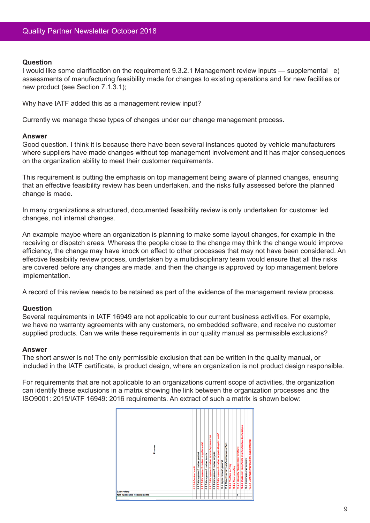#### **Question**

I would like some clarification on the requirement 9.3.2.1 Management review inputs — supplemental e) assessments of manufacturing feasibility made for changes to existing operations and for new facilities or new product (see Section 7.1.3.1);

Why have IATF added this as a management review input?

Currently we manage these types of changes under our change management process.

#### **Answer**

Good question. I think it is because there have been several instances quoted by vehicle manufacturers where suppliers have made changes without top management involvement and it has major consequences on the organization ability to meet their customer requirements.

This requirement is putting the emphasis on top management being aware of planned changes, ensuring that an effective feasibility review has been undertaken, and the risks fully assessed before the planned change is made.

In many organizations a structured, documented feasibility review is only undertaken for customer led changes, not internal changes.

An example maybe where an organization is planning to make some layout changes, for example in the receiving or dispatch areas. Whereas the people close to the change may think the change would improve efficiency, the change may have knock on effect to other processes that may not have been considered. An effective feasibility review process, undertaken by a multidisciplinary team would ensure that all the risks are covered before any changes are made, and then the change is approved by top management before implementation.

A record of this review needs to be retained as part of the evidence of the management review process.

#### **Question**

Several requirements in IATF 16949 are not applicable to our current business activities. For example, we have no warranty agreements with any customers, no embedded software, and receive no customer supplied products. Can we write these requirements in our quality manual as permissible exclusions?

#### **Answer**

The short answer is no! The only permissible exclusion that can be written in the quality manual, or included in the IATF certificate, is product design, where an organization is not product design responsible.

For requirements that are not applicable to an organizations current scope of activities, the organization can identify these exclusions in a matrix showing the link between the organization processes and the ISO9001: 2015/IATF 16949: 2016 requirements. An extract of such a matrix is shown below: